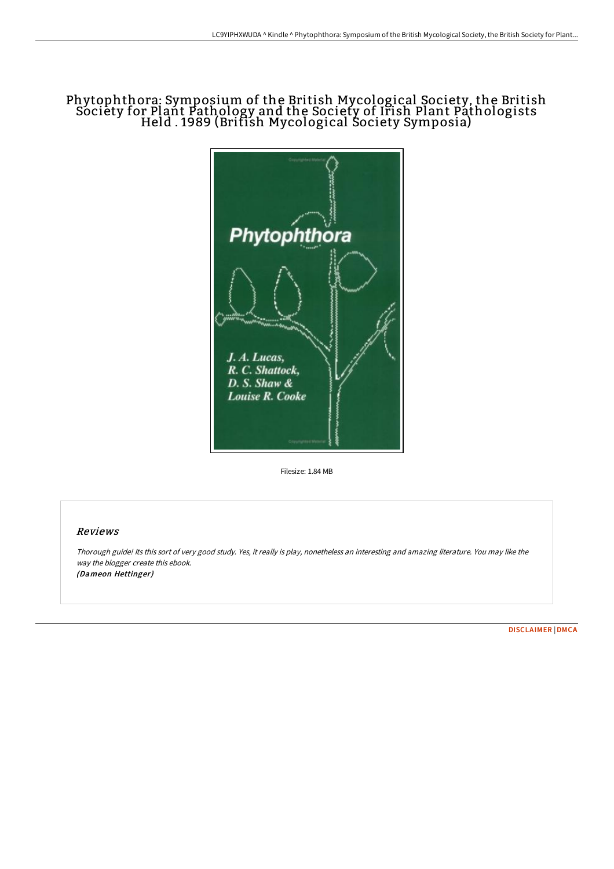## Phytophthora: Symposium of the British Mycological Society, the British Society for Plant Pathology and the Society of Irish Plant Pathologists Held . 1989 (British Mycological Society Symposia)



Filesize: 1.84 MB

## Reviews

Thorough guide! Its this sort of very good study. Yes, it really is play, nonetheless an interesting and amazing literature. You may like the way the blogger create this ebook. (Dameon Hettinger)

[DISCLAIMER](http://albedo.media/disclaimer.html) | [DMCA](http://albedo.media/dmca.html)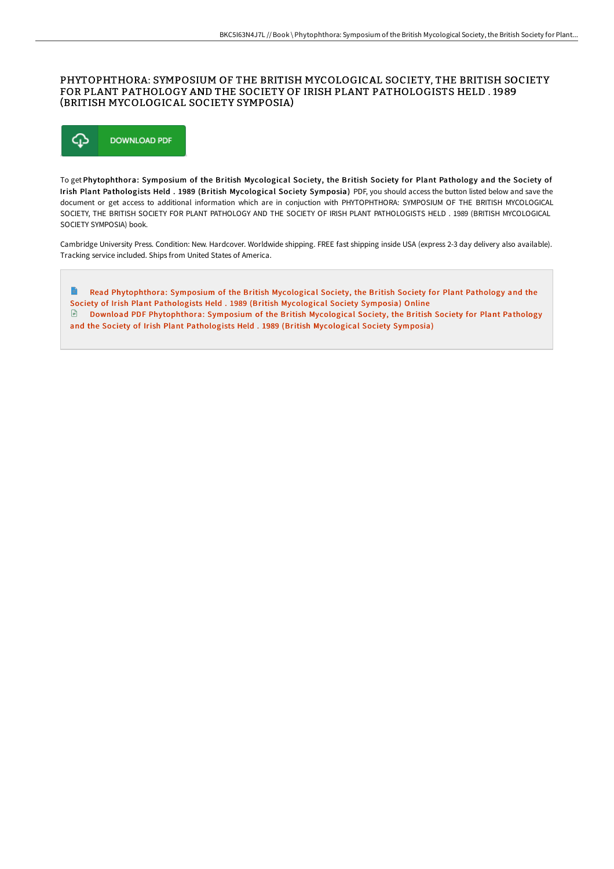## PHYTOPHTHORA: SYMPOSIUM OF THE BRITISH MYCOLOGICAL SOCIETY, THE BRITISH SOCIETY FOR PLANT PATHOLOGY AND THE SOCIETY OF IRISH PLANT PATHOLOGISTS HELD . 1989 (BRITISH MYCOLOGICAL SOCIETY SYMPOSIA)



To get Phytophthora: Symposium of the British Mycological Society, the British Society for Plant Pathology and the Society of Irish Plant Pathologists Held . 1989 (British Mycological Society Symposia) PDF, you should access the button listed below and save the document or get access to additional information which are in conjuction with PHYTOPHTHORA: SYMPOSIUM OF THE BRITISH MYCOLOGICAL SOCIETY, THE BRITISH SOCIETY FOR PLANT PATHOLOGY AND THE SOCIETY OF IRISH PLANT PATHOLOGISTS HELD . 1989 (BRITISH MYCOLOGICAL SOCIETY SYMPOSIA) book.

Cambridge University Press. Condition: New. Hardcover. Worldwide shipping. FREE fast shipping inside USA (express 2-3 day delivery also available). Tracking service included. Ships from United States of America.

 $\Rightarrow$ Read [Phytophthora:](http://albedo.media/phytophthora-symposium-of-the-british-mycologica-1.html) Symposium of the British Mycological Society, the British Society for Plant Pathology and the Society of Irish Plant Pathologists Held . 1989 (British Mycological Society Symposia) Online Download PDF [Phytophthora:](http://albedo.media/phytophthora-symposium-of-the-british-mycologica-1.html) Symposium of the British Mycological Society, the British Society for Plant Pathology and the Society of Irish Plant Pathologists Held . 1989 (British Mycological Society Symposia)